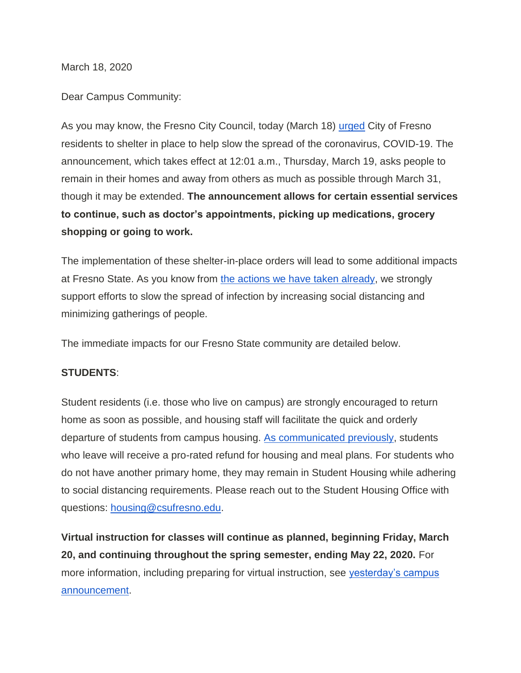March 18, 2020

Dear Campus Community:

As you may know, the Fresno City Council, today (March 18) [urged](https://www.fresno.gov/wp-content/uploads/2020/03/EMERGENCY-ORDER-2020-02_SHELTER-IN-PLACE-3.18.20.pdf) City of Fresno residents to shelter in place to help slow the spread of the coronavirus, COVID-19. The announcement, which takes effect at 12:01 a.m., Thursday, March 19, asks people to remain in their homes and away from others as much as possible through March 31, though it may be extended. **The announcement allows for certain essential services to continue, such as doctor's appointments, picking up medications, grocery shopping or going to work.**

The implementation of these shelter-in-place orders will lead to some additional impacts at Fresno State. As you know from [the actions we have taken already,](http://fresnostate.edu/president/coronavirus/communication/index.html) we strongly support efforts to slow the spread of infection by increasing social distancing and minimizing gatherings of people.

The immediate impacts for our Fresno State community are detailed below.

## **STUDENTS**:

Student residents (i.e. those who live on campus) are strongly encouraged to return home as soon as possible, and housing staff will facilitate the quick and orderly departure of students from campus housing. [As communicated previously,](http://fresnostate.edu/president/coronavirus/communication/3-17-20-president-castro.html) students who leave will receive a pro-rated refund for housing and meal plans. For students who do not have another primary home, they may remain in Student Housing while adhering to social distancing requirements. Please reach out to the Student Housing Office with questions: [housing@csufresno.edu.](mailto:housing@csufresno.edu)

**Virtual instruction for classes will continue as planned, beginning Friday, March 20, and continuing throughout the spring semester, ending May 22, 2020.** For more information, including preparing for virtual instruction, see [yesterday's campus](http://fresnostate.edu/president/coronavirus/communication/3-17-20-president-castro.html)  [announcement.](http://fresnostate.edu/president/coronavirus/communication/3-17-20-president-castro.html)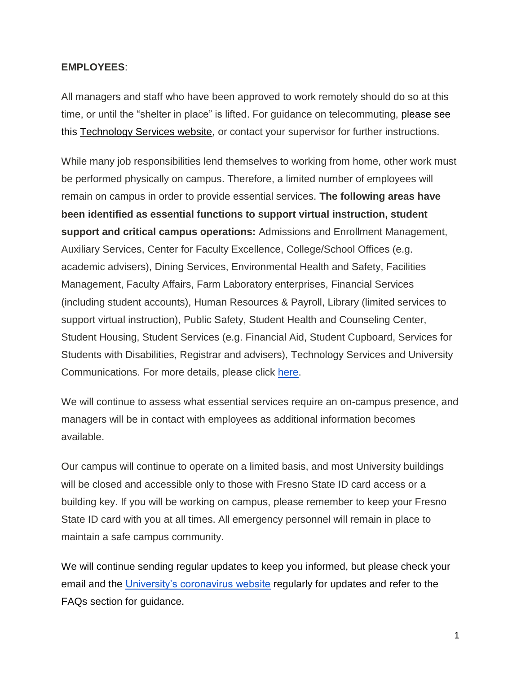## **EMPLOYEES**:

All managers and staff who have been approved to work remotely should do so at this time, or until the "shelter in place" is lifted. For guidance on telecommuting, please see this [Technology Services website,](http://fresnostate.edu/technology/workingremotely/) or contact your supervisor for further instructions.

While many job responsibilities lend themselves to working from home, other work must be performed physically on campus. Therefore, a limited number of employees will remain on campus in order to provide essential services. **The following areas have been identified as essential functions to support virtual instruction, student support and critical campus operations:** Admissions and Enrollment Management, Auxiliary Services, Center for Faculty Excellence, College/School Offices (e.g. academic advisers), Dining Services, Environmental Health and Safety, Facilities Management, Faculty Affairs, Farm Laboratory enterprises, Financial Services (including student accounts), Human Resources & Payroll, Library (limited services to support virtual instruction), Public Safety, Student Health and Counseling Center, Student Housing, Student Services (e.g. Financial Aid, Student Cupboard, Services for Students with Disabilities, Registrar and advisers), Technology Services and University Communications. For more details, please click [here.](http://www.fresnostate.edu/president/coronavirus/communication/3-18-20-hr-guidance.html)

We will continue to assess what essential services require an on-campus presence, and managers will be in contact with employees as additional information becomes available.

Our campus will continue to operate on a limited basis, and most University buildings will be closed and accessible only to those with Fresno State ID card access or a building key. If you will be working on campus, please remember to keep your Fresno State ID card with you at all times. All emergency personnel will remain in place to maintain a safe campus community.

We will continue sending regular updates to keep you informed, but please check your email and the [University's coronavirus website](http://fresnostate.edu/president/coronavirus/index.html) regularly for updates and refer to the FAQs section for guidance.